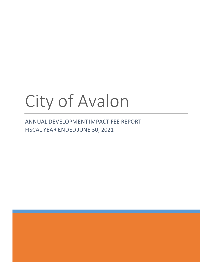# City of Avalon

ANNUAL DEVELOPMENT IMPACT FEE REPORT FISCAL YEAR ENDED JUNE 30, 2021

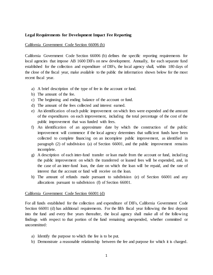# **Legal Requirements for Development Impact Fee Reporting**

California Government Code Section 66006 (b)

California Government Code Section 66006 (b) defines the specific reporting requirements for local agencies that impose AB 1600 DIFs on new development. Annually, for each separate fund established for the collection and expenditure of DIFs, the local agency shall, within 180 days of the close of the fiscal year, make available to the public the information shown below for the most recent fiscal year.

- a) A brief description of the type of fee in the account or fund.
- b) The amount of the fee.
- c) The beginning and ending balance of the account or fund.
- d) The amount of the fees collected and interest earned.
- e) An identification of each public improvement on which fees were expended and the amount of the expenditures on each improvement, including the total percentage of the cost of the public improvement that was funded with fees.
- f) An identification of an approximate date by which the construction of the public improvement will commence if the local agency determines that sufficient funds have been collected to complete financing on an incomplete public improvement, as identified in paragraph (2) of subdivision (a) of Section 66001, and the public improvement remains incomplete.
- g) A description of each inter-fund transfer or loan made from the account or fund, includ ing the public improvement on which the transferred or loaned fees will be expended, and, in the case of an inter-fund loan, the date on which the loan will be repaid, and the rate of interest that the account or fund will receive on the loan.
- h) The amount of refunds made pursuant to subdivision (e) of Section 66001 and any allocations pursuant to subdivision (f) of Section 66001.

#### California Government Code Section 66001 (d)

For all funds established for the collection and expenditure of DIFs, California Government Code Section 66001 (d) has additional requirements. For the fifth fiscal year following the first deposit into the fund and every five years thereafter, the local agency shall make all of the following findings with respect to that portion of the fund remaining unexpended, whether committed or uncommitted:

- a) Identify the purpose to which the fee is to be put.
- b) Demonstrate a reasonable relationship between the fee and purpose for which it is charged.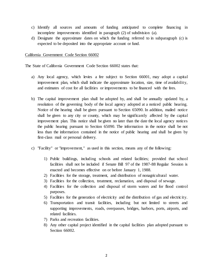- c) Identify all sources and amounts of funding anticipated to complete financing in incomplete improvements identified in paragraph (2) of subdivision (a).
- d) Designate the approximate dates on which the funding referred to in subparagraph (c) is expected to be deposited into the appropriate account or fund.

## California Government Code Section 66002

The State of California Government Code Section 66002 states that:

- a) Any local agency, which levies a fee subject to Section 66001, may adopt a capital improvement plan, which shall indicate the approximate location, size, time of availability, and estimates of cost for all facilities or improvements to be financed with the fees.
- b) The capital improvement plan shall be adopted by, and shall be annually updated by, a resolution of the governing body of the local agency adopted at a noticed public hearing. Notice of the hearing shall be given pursuant to Section 65090. In addition, mailed notice shall be given to any city or county, which may be significantly affected by the capital improvement plan. This notice shall be given no later than the date the local agency notices the public hearing pursuant to Section 65090. The information in the notice shall be not less than the information contained in the notice of public hearing and shall be given by first-class mail or personal delivery.
- c) "Facility" or "improvement," as used in this section, means any of the following:
	- 1) Public buildings, including schools and related facilities; provided that school facilities shall not be included if Senate Bill 97 of the 1987-88 Regular Session is enacted and becomes effective on or before January 1, 1988.
	- 2) Facilities for the storage, treatment, and distribution of nonagricultural water.
	- 3) Facilities for the collection, treatment, reclamation, and disposal of sewage.
	- 4) Facilities for the collection and disposal of storm waters and for flood control purposes.
	- 5) Facilities for the generation of electricity and the distribution of gas and electricity.
	- 6) Transportation and transit facilities, including but not limited to streets and supporting improvements, roads, overpasses, bridges, harbors, ports, airports, and related facilities.
	- 7) Parks and recreation facilities.
	- 8) Any other capital project identified in the capital facilities plan adopted pursuant to Section 66002.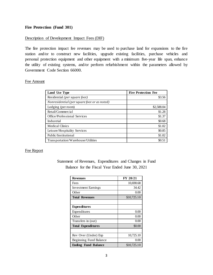## **Fire Protection (Fund 301)**

## Description of Development Impact Fees (DIF)

The fire protection impact fee revenues may be used to purchase land for expansions to the fire station and/or to construct new facilities, upgrade existing facilities, purchase vehicles and personal protection equipment and other equipment with a minimum five-year life span, enhance the utility of existing systems, and/or perform refurbishment within the parameters allowed by Government Code Section 66000.

#### Fee Amount

| Land Use Type                                | <b>Fire Protection Fee</b> |
|----------------------------------------------|----------------------------|
| Residential (per square foot)                | \$3.56                     |
| Nonresidential (per square foot or as noted) |                            |
| Lodging (per room)                           | \$2,588.04                 |
| Retail/Commercial                            | \$1.28                     |
| Office/Professional Services                 | \$1.37                     |
| Industrial                                   | \$0.68                     |
| <b>Medical Clinics</b>                       | \$1.02                     |
| Leisure/Hospitality Services                 | \$0.85                     |
| Public/Institutional                         | \$1.02                     |
| Transportation/Warehouse/Utilities           | \$0.51                     |

#### Fee Report

| <b>Revenues</b>            | FY 20/21    |
|----------------------------|-------------|
| Fees                       | 10,690.68   |
| <b>Investment Earnings</b> | 34.42       |
| Other                      | 0.00        |
| <b>Total Revenues</b>      | \$10,725.10 |
|                            |             |
| <b>Expenditures</b>        |             |
| Expenditures               | 0.00        |
| Other                      | 0.00        |
| Transfers in (out)         | 0.00        |
| <b>Total Expenditures</b>  | \$0.00      |
|                            |             |
| Rev Over (Under) Exp       | 10,725.10   |
| Beginning Fund Balance     | $0.00\,$    |
| <b>Ending Fund Balance</b> | \$10,725.10 |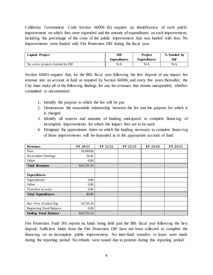California Government Code Section 66006 (b) requires an identification of each public improvement on which fees were expended and the amount of expenditures on each improvement, including the percentage of the costs of the public improvement that was funded with fees. No improvements were funded with Fire Protection DIF during the fiscal year.

| <b>Capital Project</b>           | DIF                 | <b>Project</b>      | % Funded by |
|----------------------------------|---------------------|---------------------|-------------|
|                                  | <b>Expenditures</b> | <b>Expenditures</b> | DIF         |
| No active projects funded by DIF | N/A                 | N/A                 | N/A         |

Section 66001 requires that, for the fifth fiscal year following the first deposit of any impact fee revenue into an account or fund as required by Section 66006, and every five years thereafter, the City must make all of the following findings for any fee revenues that remain unexpended, whether committed or uncommitted:

- 1. Identify the purpose to which the fee will be put.
- 2. Demonstrate the reasonable relationship between the fee and the purpose for which it is charged.
- 3. Identify all sources and amounts of funding anticipated to complete financing of incomplete improvements for which the impact fees are to be used.
- 4. Designate the approximate dates on which the funding necessary to complete financing of those improvements will be deposited in to the appropriate account of fund.

| <b>Revenues</b>            | FY 20/21    | FY 21/22 | FY 22/23 | FY 23/24 | FY 24/25 |
|----------------------------|-------------|----------|----------|----------|----------|
| Fees                       | 10,690.68   |          |          |          |          |
| <b>Investment Earnings</b> | 34.42       |          |          |          |          |
| Other                      | 0.00        |          |          |          |          |
| <b>Total Revenues</b>      | \$10,725.10 |          |          |          |          |
|                            |             |          |          |          |          |
| <b>Expenditures</b>        |             |          |          |          |          |
| Expenditures               | 0.00        |          |          |          |          |
| Other                      | 0.00        |          |          |          |          |
| Transfers in (out)         | 0.00        |          |          |          |          |
| <b>Total Expenditures</b>  | \$0.00      |          |          |          |          |
|                            |             |          |          |          |          |
| Rev Over (Under) Exp       | 10,725.10   |          |          |          |          |
| Beginning Fund Balance     | 0.00        |          |          |          |          |
| <b>Ending Fund Balance</b> | \$10,725.10 |          |          |          |          |

Fire Protection Fund 301 reports no funds being held past the fifth fiscal year following the first deposit. Sufficient funds from the Fire Protection DIF have not been collected to complete the financing on an incomplete public improvement. No inter-fund transfers or loans were made during the reporting period. No refunds were issued due to protests during this reporting period.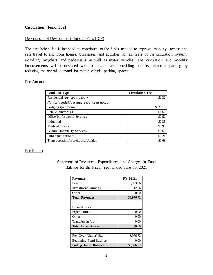# Description of Development Impact Fees (DIF)

The circulation fee is intended to contribute to the funds needed to improve mobility, access and safe travel to and from homes, businesses and activities for all users of the circulation system, including bicyclists and pedestrians as well as motor vehicles. The circulation and mobility improvements will be designed with the goal of also providing benefits related to parking by reducing the overall demand for motor vehicle parking spaces.

### Fee Amount

| Land Use Type                                | <b>Circulation Fee</b> |
|----------------------------------------------|------------------------|
| Residential (per square foot)                | \$1.32                 |
| Nonresidential (per square foot or as noted) |                        |
| Lodging (per room)                           | \$923.13               |
| Retail/Commercial                            | \$1.69                 |
| Office/Professional Services                 | \$0.52                 |
| Industrial                                   | \$0.35                 |
| <b>Medical Clinics</b>                       | \$0.90                 |
| Leisure/Hospitality Services                 | \$0.66                 |
| Public/Institutional                         | \$0.21                 |
| Transportation/Warehouse/Utilities           |                        |

# Fee Report

| <b>Revenues</b>            | <b>FY 20/21</b> |
|----------------------------|-----------------|
| Fees                       | 3,963.96        |
| <b>Investment Earnings</b> | 12.76           |
| Other                      | 0.00            |
| <b>Total Revenues</b>      | \$3,976.72      |
|                            |                 |
| <b>Expenditures</b>        |                 |
| Expenditures               | 0.00            |
| Other                      | 0.00            |
| Transfers in (out)         | 0.00            |
| <b>Total Expenditures</b>  | \$0.00          |
|                            |                 |
| Rev Over (Under) Exp       | 3,976.72        |
| Beginning Fund Balance     | 0.00            |
| <b>Ending Fund Balance</b> | \$3,976.72      |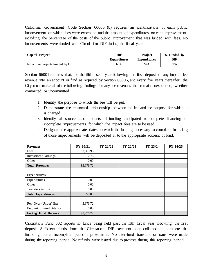California Government Code Section 66006 (b) requires an identification of each public improvement on which fees were expended and the amount of expenditures on each improvement, including the percentage of the costs of the public improvement that was funded with fees. No improvements were funded with Circulation DIF during the fiscal year.

| <b>Capital Project</b>           | DIF                 | <b>Project</b>      | % Funded by |
|----------------------------------|---------------------|---------------------|-------------|
|                                  | <b>Expenditures</b> | <b>Expenditures</b> | DIF         |
| No active projects funded by DIF | N/A                 | N/A                 | N/A         |

Section 66001 requires that, for the fifth fiscal year following the first deposit of any impact fee revenue into an account or fund as required by Section 66006, and every five years thereafter, the City must make all of the following findings for any fee revenues that remain unexpended, whether committed or uncommitted:

- 1. Identify the purpose to which the fee will be put.
- 2. Demonstrate the reasonable relationship between the fee and the purpose for which it is charged.
- 3. Identify all sources and amounts of funding anticipated to complete financing of incomplete improvements for which the impact fees are to be used.
- 4. Designate the approximate dates on which the funding necessary to complete financing of those improvements will be deposited in to the appropriate account of fund.

| <b>Revenues</b>            | FY 20/21   | FY 21/22 | FY 22/23 | FY 23/24 | FY 24/25 |
|----------------------------|------------|----------|----------|----------|----------|
| Fees                       | 3,963.96   |          |          |          |          |
| <b>Investment Earnings</b> | 12.76      |          |          |          |          |
| Other                      | 0.00       |          |          |          |          |
| <b>Total Revenues</b>      | \$3,976.72 |          |          |          |          |
|                            |            |          |          |          |          |
| <b>Expenditures</b>        |            |          |          |          |          |
| Expenditures               | 0.00       |          |          |          |          |
| Other                      | 0.00       |          |          |          |          |
| Transfers in (out)         | 0.00       |          |          |          |          |
| <b>Total Expenditures</b>  | \$0.00     |          |          |          |          |
|                            |            |          |          |          |          |
| Rev Over (Under) Exp       | 3,976.72   |          |          |          |          |
| Beginning Fund Balance     | 0.00       |          |          |          |          |
| <b>Ending Fund Balance</b> | \$3,976.72 |          |          |          |          |

Circulation Fund 302 reports no funds being held past the fifth fiscal year following the first deposit. Sufficient funds from the Circulation DIF have not been collected to complete the financing on an incomplete public improvement. No inter-fund transfers or loans were made during the reporting period. No refunds were issued due to protests during this reporting period.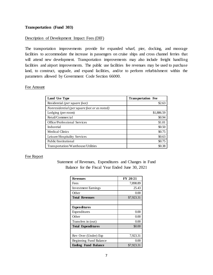## **Transportation (Fund 303)**

#### Description of Development Impact Fees (DIF)

The transportation improvements provide for expanded wharf, pier, docking, and moorage facilities to accommodate the increase in passengers on cruise ships and cross channel ferries that will attend new development. Transportation improvements may also include freight handling facilities and airport improvements. The public use facilities fee revenues may be used to purchase land, to construct, upgrade, and expand facilities, and/or to perform refurbishment within the parameters allowed by Government Code Section 66000.

## Fee Amount

| Land Use Type                                | <b>Transportation Fee</b> |
|----------------------------------------------|---------------------------|
| Residential ( <i>per square foot</i> )       | \$2.63                    |
| Nonresidential (per square foot or as noted) |                           |
| Lodging (per room)                           | \$1,886.59                |
| Retail/Commercial                            | \$0.94                    |
| Office/Professional Services                 | \$1.01                    |
| Industrial                                   | \$0.50                    |
| <b>Medical Clinics</b>                       | \$0.75                    |
| Leisure/Hospitality Services                 | \$0.63                    |
| Public/Institutional                         | \$0.75                    |
| Transportation/Warehouse/Utilities           | \$0.38                    |

#### Fee Report

| <b>Revenues</b>            | <b>FY 20/21</b> |
|----------------------------|-----------------|
| Fees                       | 7,898.89        |
| Investment Earnings        | 25.43           |
| Other                      | 0.00            |
| <b>Total Revenues</b>      | \$7,923.31      |
|                            |                 |
| <b>Expenditures</b>        |                 |
| Expenditures               | 0.00            |
| Other                      | 0.00            |
| Transfers in (out)         | 0.00            |
| <b>Total Expenditures</b>  | \$0.00          |
|                            |                 |
| Rev Over (Under) Exp       | 7,923.31        |
| Beginning Fund Balance     | 0.00            |
| <b>Ending Fund Balance</b> | \$7,923.31      |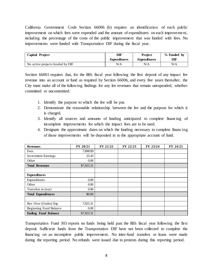California Government Code Section 66006 (b) requires an identification of each public improvement on which fees were expended and the amount of expenditures on each improvement, including the percentage of the costs of the public improvement that was funded with fees. No improvements were funded with Transportation DIF during the fiscal year.

| <b>Capital Project</b>           | DIF                 | <b>Project</b>      | % Funded by |
|----------------------------------|---------------------|---------------------|-------------|
|                                  | <b>Expenditures</b> | <b>Expenditures</b> | DIF         |
| No active projects funded by DIF | N/A                 | N/A                 | N/A         |

Section 66001 requires that, for the fifth fiscal year following the first deposit of any impact fee revenue into an account or fund as required by Section 66006, and every five years thereafter, the City must make all of the following findings for any fee revenues that remain unexpended, whether committed or uncommitted:

- 1. Identify the purpose to which the fee will be put.
- 2. Demonstrate the reasonable relationship between the fee and the purpose for which it is charged.
- 3. Identify all sources and amounts of funding anticipated to complete financing of incomplete improvements for which the impact fees are to be used.
- 4. Designate the approximate dates on which the funding necessary to complete financing of those improvements will be deposited in to the appropriate account of fund.

| <b>Revenues</b>            | FY 20/21   | FY 21/22 | FY 22/23 | FY 23/24 | FY 24/25 |
|----------------------------|------------|----------|----------|----------|----------|
| Fees                       | 7,898.89   |          |          |          |          |
| <b>Investment Earnings</b> | 25.43      |          |          |          |          |
| Other                      | 0.00       |          |          |          |          |
| <b>Total Revenues</b>      | \$7,923.31 |          |          |          |          |
|                            |            |          |          |          |          |
| <b>Expenditures</b>        |            |          |          |          |          |
| Expenditures               | 0.00       |          |          |          |          |
| Other                      | 0.00       |          |          |          |          |
| Transfers in (out)         | 0.00       |          |          |          |          |
| <b>Total Expenditures</b>  | \$0.00     |          |          |          |          |
|                            |            |          |          |          |          |
| Rev Over (Under) Exp       | 7,923.31   |          |          |          |          |
| Beginning Fund Balance     | 0.00       |          |          |          |          |
| <b>Ending Fund Balance</b> | \$7,923.31 |          |          |          |          |

Transportation Fund 303 reports no funds being held past the fifth fiscal year following the first deposit. Sufficient funds from the Transportation DIF have not been collected to complete the financing on an incomplete public improvement. No inter-fund transfers or loans were made during the reporting period. No refunds were issued due to protests during this reporting period.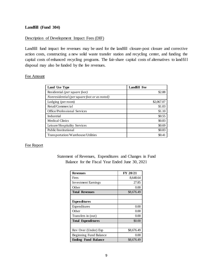# Description of Development Impact Fees (DIF)

Landfill fund impact fee revenues may be used for the landfill closure-post closure and corrective action costs, constructing a new solid waste transfer station and recycling center, and funding the capital costs of enhanced recycling programs. The fair-share capital costs of alternatives to landfill disposal may also be funded by the fee revenues.

#### Fee Amount

| Land Use Type                                | <b>Landfill Fee</b> |
|----------------------------------------------|---------------------|
| Residential ( <i>per square foot</i> )       | \$2.88              |
| Nonresidential (per square foot or as noted) |                     |
| Lodging (per room)                           | \$2,067.07          |
| Retail/Commercial                            | \$1.03              |
| Office/Professional Services                 | \$1.10              |
| Industrial                                   | \$0.55              |
| <b>Medical Clinics</b>                       | \$0.83              |
| Leisure/Hospitality Services                 | \$0.69              |
| Public/Institutional                         | \$0.83              |
| Transportation/Warehouse/Utilities           | \$0.41              |

## Fee Report

| <b>Revenues</b>            | FY 20/21   |
|----------------------------|------------|
| Fees                       | 8,648.64   |
| <b>Investment Earnings</b> | 27.85      |
| Other                      | 0.00       |
| <b>Total Revenues</b>      | \$8,676.49 |
|                            |            |
| <b>Expenditures</b>        |            |
| Expenditures               | 0.00       |
| Other                      | 0.00       |
| Transfers in (out)         | 0.00       |
| <b>Total Expenditures</b>  | \$0.00     |
|                            |            |
| Rev Over (Under) Exp       | \$8,676.49 |
| Beginning Fund Balance     | 0.00       |
| <b>Ending Fund Balance</b> | \$8,676.49 |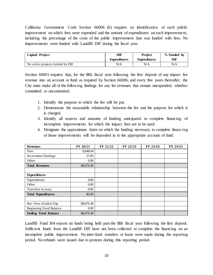California Government Code Section 66006 (b) requires an identification of each public improvement on which fees were expended and the amount of expenditures on each improvement, including the percentage of the costs of the public improvement that was funded with fees. No improvements were funded with Landfill DIF during the fiscal year.

| <b>Capital Project</b>           | DIF                 | <b>Project</b>      | % Funded by |
|----------------------------------|---------------------|---------------------|-------------|
|                                  | <b>Expenditures</b> | <b>Expenditures</b> | DIF         |
| No active projects funded by DIF | N/A                 | N/A                 | N/A         |

Section 66001 requires that, for the fifth fiscal year following the first deposit of any impact fee revenue into an account or fund as required by Section 66006, and every five years thereafter, the City must make all of the following findings for any fee revenues that remain unexpended, whether committed or uncommitted:

- 1. Identify the purpose to which the fee will be put.
- 2. Demonstrate the reasonable relationship between the fee and the purpose for which it is charged.
- 3. Identify all sources and amounts of funding anticipated to complete financing of incomplete improvements for which the impact fees are to be used.
- 4. Designate the approximate dates on which the funding necessary to complete financing of those improvements will be deposited in to the appropriate account of fund.

| <b>Revenues</b>            | FY 20/21   | FY 21/22 | FY 22/23 | FY 23/24 | FY 24/25 |
|----------------------------|------------|----------|----------|----------|----------|
| Fees                       | 8,648.64   |          |          |          |          |
| <b>Investment Earnings</b> | 27.85      |          |          |          |          |
| Other                      | 0.00       |          |          |          |          |
| <b>Total Revenues</b>      | \$8,676.49 |          |          |          |          |
|                            |            |          |          |          |          |
| <b>Expenditures</b>        |            |          |          |          |          |
| Expenditures               | 0.00       |          |          |          |          |
| Other                      | 0.00       |          |          |          |          |
| Transfers in (out)         | 0.00       |          |          |          |          |
| <b>Total Expenditures</b>  | \$0.00     |          |          |          |          |
|                            |            |          |          |          |          |
| Rev Over (Under) Exp       | \$8,676.49 |          |          |          |          |
| Beginning Fund Balance     | 0.00       |          |          |          |          |
| <b>Ending Fund Balance</b> | \$8,676.49 |          |          |          |          |

Landfill Fund 304 reports no funds being held past the fifth fiscal year following the first deposit. Sufficient funds from the Landfill DIF have not been collected to complete the financing on an incomplete public improvement. No inter-fund transfers or loans were made during the reporting period. No refunds were issued due to protests during this reporting period.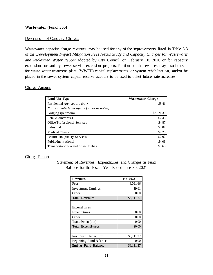## **Wastewater (Fund 305)**

## Description of Capacity Charges

Wastewater capacity charge revenues may be used for any of the improvements listed in Table 8.3 of the *Development Impact Mitigation Fees Nexus Study and Capacity Charges for Wastewater and Reclaimed Water Report* adopted by City Council on February 18, 2020 or for capacity expansion, or sanitary sewer service extension projects. Portions of the revenues may also be used for waste water treatment plant (WWTP) capital replacements or system rehabilitation, and/or be placed in the sewer system capital reserve account to be used to offset future rate increases.

#### Charge Amount

| Land Use Type                                | Wastewater Charge |  |  |
|----------------------------------------------|-------------------|--|--|
| Residential (per square foot)                | \$5.41            |  |  |
| Nonresidential (per square foot or as noted) |                   |  |  |
| Lodging (per room)                           | \$2,921.39        |  |  |
| Retail/Commercial                            | \$2.43            |  |  |
| Office/Professional Services                 | \$4.87            |  |  |
| Industrial                                   | \$4.87            |  |  |
| <b>Medical Clinics</b>                       | \$7.25            |  |  |
| Leisure/Hospitality Services                 | \$2.92            |  |  |
| Public/Institutional                         | \$4.06            |  |  |
| Transportation/Warehouse/Utilities           | \$0.60            |  |  |

# Charge Report

| <b>Revenues</b>            | FY 20/21   |
|----------------------------|------------|
| Fees                       | 6,091.66   |
| <b>Investment Earnings</b> | 19.61      |
| Other                      | 0.00       |
| <b>Total Revenues</b>      | \$6,111.27 |
|                            |            |
| <b>Expenditures</b>        |            |
| Expenditures               | 0.00       |
| Other                      | 0.00       |
| Transfers in (out)         | 0.00       |
| <b>Total Expenditures</b>  | \$0.00     |
|                            |            |
| Rev Over (Under) Exp       | \$6,111.27 |
| Beginning Fund Balance     | 0.00       |
| <b>Ending Fund Balance</b> | \$6,111.27 |